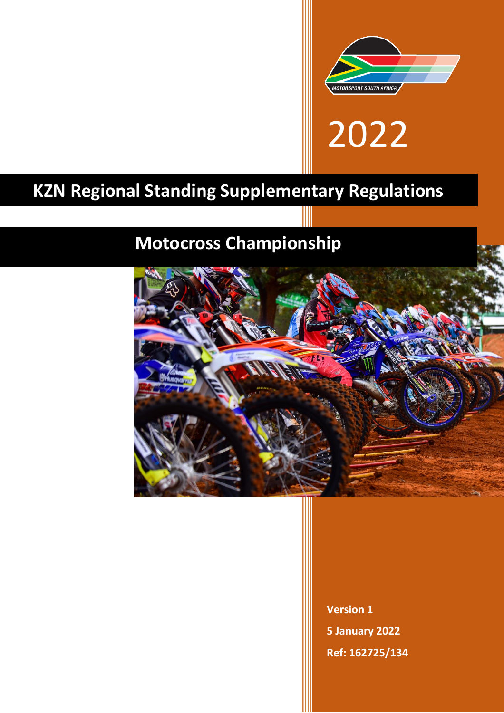

# 2022

# **KZN Regional Standing Supplementary Regulations**

# **Motocross Championship**



**Version 1 5 January 2022 Ref: 162725/134**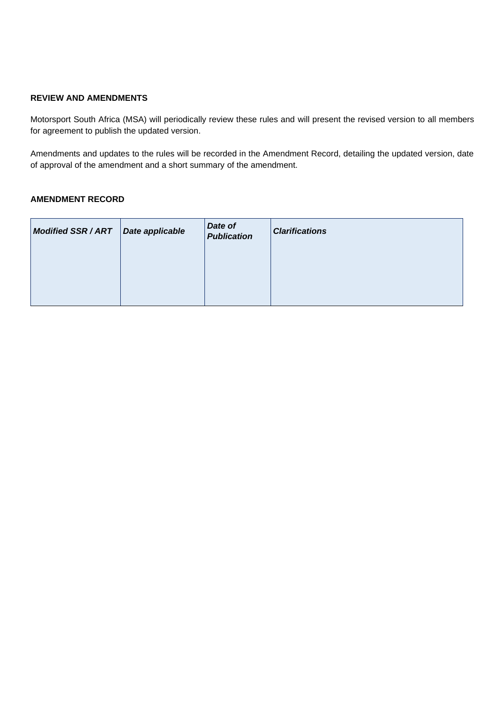# **REVIEW AND AMENDMENTS**

Motorsport South Africa (MSA) will periodically review these rules and will present the revised version to all members for agreement to publish the updated version.

Amendments and updates to the rules will be recorded in the Amendment Record, detailing the updated version, date of approval of the amendment and a short summary of the amendment.

# **AMENDMENT RECORD**

| <b>Modified SSR/ART</b> | Date applicable | Date of<br><b>Publication</b> | <b>Clarifications</b> |
|-------------------------|-----------------|-------------------------------|-----------------------|
|                         |                 |                               |                       |
|                         |                 |                               |                       |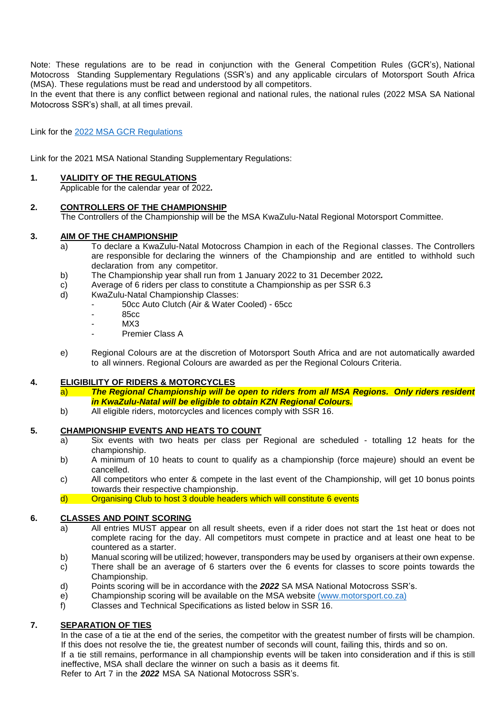Note: These regulations are to be read in conjunction with the General Competition Rules (GCR's), National Motocross Standing Supplementary Regulations (SSR's) and any applicable circulars of Motorsport South Africa (MSA). These regulations must be read and understood by all competitors.

In the event that there is any conflict between regional and national rules, the national rules (2022 MSA SA National Motocross SSR's) shall, at all times prevail.

Link for the 2022 [MSA GCR Regulations](file:///C:/Users/Rosina/AppData/Local/Temp/2022MSAGCRs_CircuitSSRs_AppendixH_10Dec21-1.pdf)

Link for the 2021 MSA National Standing Supplementary Regulations:

#### **1. VALIDITY OF THE REGULATIONS**

Applicable for the calendar year of 2022*.*

#### **2. CONTROLLERS OF THE CHAMPIONSHIP**

The Controllers of the Championship will be the MSA KwaZulu-Natal Regional Motorsport Committee.

#### **3. AIM OF THE CHAMPIONSHIP**

- a) To declare a KwaZulu-Natal Motocross Champion in each of the Regional classes. The Controllers are responsible for declaring the winners of the Championship and are entitled to withhold such declaration from any competitor.
- b) The Championship year shall run from 1 January 2022 to 31 December 2022*.*
- c) Average of 6 riders per class to constitute a Championship as per SSR 6.3
- d) KwaZulu-Natal Championship Classes:
	- 50cc Auto Clutch (Air & Water Cooled) 65cc
	- 85cc
	- $MX3$
	- Premier Class A
- e) Regional Colours are at the discretion of Motorsport South Africa and are not automatically awarded to all winners. Regional Colours are awarded as per the Regional Colours Criteria.

# **4. ELIGIBILITY OF RIDERS & MOTORCYCLES**

- a) *The Regional Championship will be open to riders from all MSA Regions. Only riders resident in KwaZulu-Natal will be eligible to obtain KZN Regional Colours.*
- b) All eligible riders, motorcycles and licences comply with SSR 16.

# **5. CHAMPIONSHIP EVENTS AND HEATS TO COUNT**

- a) Six events with two heats per class per Regional are scheduled totalling 12 heats for the championship.
- b) A minimum of 10 heats to count to qualify as a championship (force majeure) should an event be cancelled.
- c) All competitors who enter & compete in the last event of the Championship, will get 10 bonus points towards their respective championship.
- d) Organising Club to host 3 double headers which will constitute 6 events

# **6. CLASSES AND POINT SCORING**

- a) All entries MUST appear on all result sheets, even if a rider does not start the 1st heat or does not complete racing for the day. All competitors must compete in practice and at least one heat to be countered as a starter.
- b) Manual scoring will be utilized; however, transponders may be used by organisers at their own expense.
- c) There shall be an average of 6 starters over the 6 events for classes to score points towards the Championship.
- d) Points scoring will be in accordance with the *2022* SA MSA National Motocross SSR's.
- e) Championship scoring will be available on the MSA website [\(www.motorsport.co.za\)](http://(www.motorsport.co.za)/)
- f) Classes and Technical Specifications as listed below in SSR 16.

# **7. SEPARATION OF TIES**

In the case of a tie at the end of the series, the competitor with the greatest number of firsts will be champion. If this does not resolve the tie, the greatest number of seconds will count, failing this, thirds and so on. If a tie still remains, performance in all championship events will be taken into consideration and if this is still ineffective, MSA shall declare the winner on such a basis as it deems fit. Refer to Art 7 in the *2022* MSA SA National Motocross SSR's.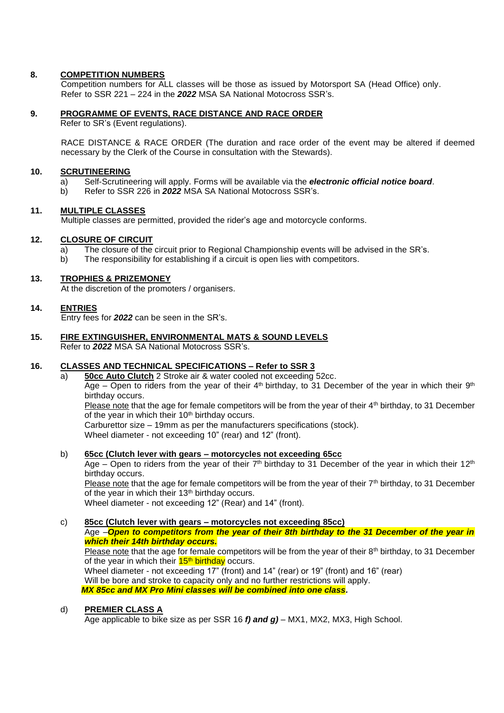# **8. COMPETITION NUMBERS**

Competition numbers for ALL classes will be those as issued by Motorsport SA (Head Office) only. Refer to SSR 221 – 224 in the *2022* MSA SA National Motocross SSR's.

# **9. PROGRAMME OF EVENTS, RACE DISTANCE AND RACE ORDER**

Refer to SR's (Event regulations).

RACE DISTANCE & RACE ORDER (The duration and race order of the event may be altered if deemed necessary by the Clerk of the Course in consultation with the Stewards).

#### **10. SCRUTINEERING**

- a) Self-Scrutineering will apply. Forms will be available via the *electronic official notice board*.
- b) Refer to SSR 226 in *2022* MSA SA National Motocross SSR's.

# **11. MULTIPLE CLASSES**

Multiple classes are permitted, provided the rider's age and motorcycle conforms.

#### **12. CLOSURE OF CIRCUIT**

- a) The closure of the circuit prior to Regional Championship events will be advised in the SR's.
- b) The responsibility for establishing if a circuit is open lies with competitors.

#### **13. TROPHIES & PRIZEMONEY**

At the discretion of the promoters / organisers.

#### **14. ENTRIES**

Entry fees for *2022* can be seen in the SR's.

#### **15. FIRE EXTINGUISHER, ENVIRONMENTAL MATS & SOUND LEVELS** Refer to *2022* MSA SA National Motocross SSR's.

# **16. CLASSES AND TECHNICAL SPECIFICATIONS – Refer to SSR 3**

a) **50cc Auto Clutch** 2 Stroke air & water cooled not exceeding 52cc. Age – Open to riders from the year of their 4<sup>th</sup> birthday, to 31 December of the year in which their 9<sup>th</sup> birthday occurs.

Please note that the age for female competitors will be from the year of their 4<sup>th</sup> birthday, to 31 December of the year in which their 10<sup>th</sup> birthday occurs.

Carburettor size – 19mm as per the manufacturers specifications (stock).

Wheel diameter - not exceeding 10" (rear) and 12" (front).

#### b) **65cc (Clutch lever with gears – motorcycles not exceeding 65cc**

Age – Open to riders from the year of their 7<sup>th</sup> birthday to 31 December of the year in which their 12<sup>th</sup> birthday occurs.

Please note that the age for female competitors will be from the year of their 7<sup>th</sup> birthday, to 31 December of the year in which their 13<sup>th</sup> birthday occurs.

Wheel diameter - not exceeding 12" (Rear) and 14" (front).

# c) **85cc (Clutch lever with gears – motorcycles not exceeding 85cc)** Age –*Open to competitors from the year of their 8th birthday to the 31 December of the year in which their 14th birthday occurs.* Please note that the age for female competitors will be from the year of their 8<sup>th</sup> birthday, to 31 December of the year in which their <mark>15<sup>th</sup> birthday</mark> occurs. Wheel diameter - not exceeding 17" (front) and 14" (rear) or 19" (front) and 16" (rear) Will be bore and stroke to capacity only and no further restrictions will apply. *MX 85cc and MX Pro Mini classes will be combined into one class.*

#### d) **PREMIER CLASS A**

Age applicable to bike size as per SSR 16 *f) and g)* – MX1, MX2, MX3, High School.